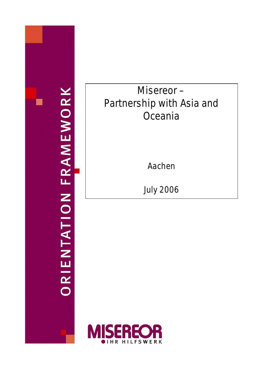**ORIENTATION FRAMEWORK** 

## Misereor – Partnership with Asia and **Oceania**

Aachen

July 2006

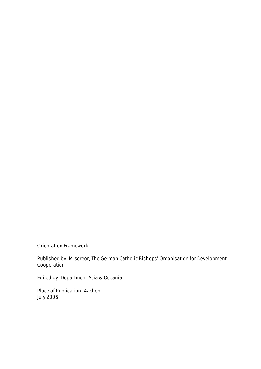Orientation Framework:

Published by: Misereor, The German Catholic Bishops' Organisation for Development **Cooperation** 

Edited by: Department Asia & Oceania

Place of Publication: Aachen July 2006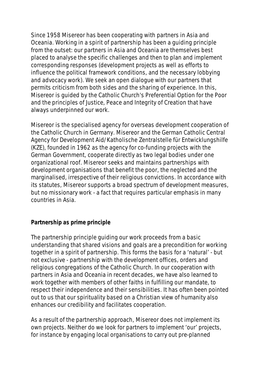Since 1958 Misereor has been cooperating with partners in Asia and Oceania. Working in a spirit of partnership has been a guiding principle from the outset: our partners in Asia and Oceania are themselves best placed to analyse the specific challenges and then to plan and implement corresponding responses (development projects as well as efforts to influence the political framework conditions, and the necessary lobbying and advocacy work). We seek an open dialogue with our partners that permits criticism from both sides and the sharing of experience. In this, Misereor is guided by the Catholic Church's Preferential Option for the Poor and the principles of Justice, Peace and Integrity of Creation that have always underpinned our work.

Misereor is the specialised agency for overseas development cooperation of the Catholic Church in Germany. Misereor and the German Catholic Central Agency for Development Aid/Katholische Zentralstelle für Entwicklungshilfe (KZE), founded in 1962 as the agency for co-funding projects with the German Government, cooperate directly as two legal bodies under one organizational roof. Misereor seeks and maintains partnerships with development organisations that benefit the poor, the neglected and the marginalised, irrespective of their religious convictions. In accordance with its statutes, Misereor supports a broad spectrum of development measures, but no missionary work - a fact that requires particular emphasis in many countries in Asia.

**Partnership as prime principle**

The partnership principle guiding our work proceeds from a basic understanding that shared visions and goals are a precondition for working together in a spirit of partnership. This forms the basis for a 'natural' - but not exclusive - partnership with the development offices, orders and religious congregations of the Catholic Church. In our cooperation with partners in Asia and Oceania in recent decades, we have also learned to work together with members of other faiths in fulfilling our mandate, to respect their independence and their sensibilities. It has often been pointed out to us that our spirituality based on a Christian view of humanity also enhances our credibility and facilitates cooperation.

As a result of the partnership approach, Misereor does not implement its own projects. Neither do we look for partners to implement 'our' projects, for instance by engaging local organisations to carry out pre-planned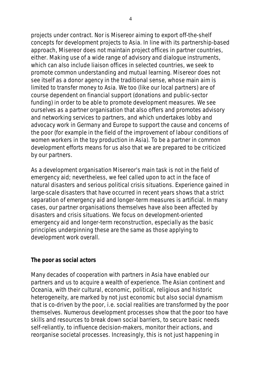projects under contract. Nor is Misereor aiming to export off-the-shelf concepts for development projects to Asia. In line with its partnership-based approach, Misereor does not maintain project offices in partner countries, either. Making use of a wide range of advisory and dialogue instruments, which can also include liaison offices in selected countries, we seek to promote common understanding and mutual learning. Misereor does not see itself as a donor agency in the traditional sense, whose main aim is limited to transfer money to Asia. We too (like our local partners) are of course dependent on financial support (donations and public-sector funding) in order to be able to promote development measures. We see ourselves as a partner organisation that also offers and promotes advisory and networking services to partners, and which undertakes lobby and advocacy work in Germany and Europe to support the cause and concerns of the poor (for example in the field of the improvement of labour conditions of women workers in the toy production in Asia). To be a partner in common development efforts means for us also that we are prepared to be criticized by our partners.

As a development organisation Misereor's main task is not in the field of emergency aid; nevertheless, we feel called upon to act in the face of natural disasters and serious political crisis situations. Experience gained in large-scale disasters that have occurred in recent years shows that a strict separation of emergency aid and longer-term measures is artificial. In many cases, our partner organisations themselves have also been affected by disasters and crisis situations. We focus on development-oriented emergency aid and longer-term reconstruction, especially as the basic principles underpinning these are the same as those applying to development work overall.

## **The poor as social actors**

Many decades of cooperation with partners in Asia have enabled our partners and us to acquire a wealth of experience. The Asian continent and Oceania, with their cultural, economic, political, religious and historic heterogeneity, are marked by not just economic but also social dynamism that is co-driven by the poor, i.e. social realities are transformed by the poor themselves. Numerous development processes show that the poor too have skills and resources to break down social barriers, to secure basic needs self-reliantly, to influence decision-makers, monitor their actions, and reorganise societal processes. Increasingly, this is not just happening in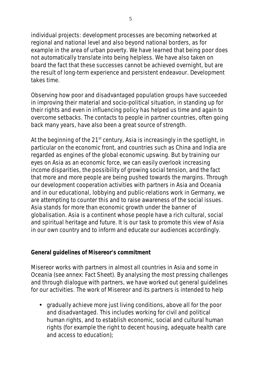individual projects: development processes are becoming networked at regional and national level and also beyond national borders, as for example in the area of urban poverty. We have learned that being poor does not automatically translate into being helpless. We have also taken on board the fact that these successes cannot be achieved overnight, but are the result of long-term experience and persistent endeavour. Development takes time.

Observing how poor and disadvantaged population groups have succeeded in improving their material and socio-political situation, in standing up for their rights and even in influencing policy has helped us time and again to overcome setbacks. The contacts to people in partner countries, often going back many years, have also been a great source of strength.

At the beginning of the  $21^{st}$  century, Asia is increasingly in the spotlight, in particular on the economic front, and countries such as China and India are regarded as engines of the global economic upswing. But by training our eyes on Asia as an economic force, we can easily overlook increasing income disparities, the possibility of growing social tension, and the fact that more and more people are being pushed towards the margins. Through our development cooperation activities with partners in Asia and Oceania and in our educational, lobbying and public-relations work in Germany, we are attempting to counter this and to raise awareness of the social issues. Asia stands for more than economic growth under the banner of globalisation. Asia is a continent whose people have a rich cultural, social and spiritual heritage and future. It is our task to promote this view of Asia in our own country and to inform and educate our audiences accordingly.

## **General guidelines of Misereor's commitment**

Misereor works with partners in almost all countries in Asia and some in Oceania (see annex: Fact Sheet). By analysing the most pressing challenges and through dialogue with partners, we have worked out general guidelines for our activities. The work of Misereor and its partners is intended to help

• gradually achieve more just living conditions, above all for the poor and disadvantaged. This includes working for civil and political human rights, and to establish economic, social and cultural human rights (for example the right to decent housing, adequate health care and access to education);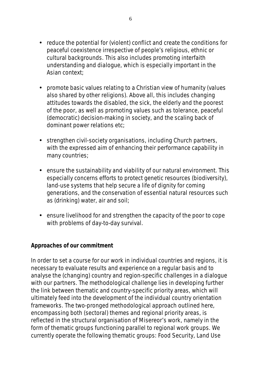- reduce the potential for (violent) conflict and create the conditions for peaceful coexistence irrespective of people's religious, ethnic or cultural backgrounds. This also includes promoting interfaith understanding and dialogue, which is especially important in the Asian context;
- promote basic values relating to a Christian view of humanity (values also shared by other religions). Above all, this includes changing attitudes towards the disabled, the sick, the elderly and the poorest of the poor, as well as promoting values such as tolerance, peaceful (democratic) decision-making in society, and the scaling back of dominant power relations etc;
- strengthen civil-society organisations, including Church partners, with the expressed aim of enhancing their performance capability in many countries;
- ensure the sustainability and viability of our natural environment. This especially concerns efforts to protect genetic resources (biodiversity), land-use systems that help secure a life of dignity for coming generations, and the conservation of essential natural resources such as (drinking) water, air and soil;
- ensure livelihood for and strengthen the capacity of the poor to cope with problems of day-to-day survival.

**Approaches of our commitment**

In order to set a course for our work in individual countries and regions, it is necessary to evaluate results and experience on a regular basis and to analyse the (changing) country and region-specific challenges in a dialogue with our partners. The methodological challenge lies in developing further the link between thematic and country-specific priority areas, which will ultimately feed into the development of the individual country orientation frameworks. The two-pronged methodological approach outlined here, encompassing both (sectoral) themes and regional priority areas, is reflected in the structural organisation of Misereor's work, namely in the form of thematic groups functioning parallel to regional work groups. We currently operate the following thematic groups: Food Security, Land Use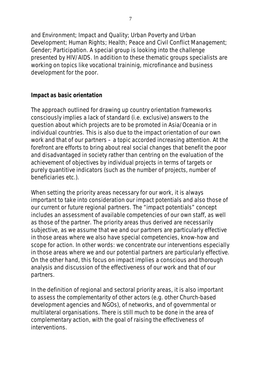and Environment; Impact and Quality; Urban Poverty and Urban Development; Human Rights; Health; Peace and Civil Conflict Management; Gender; Participation. A special group is looking into the challenge presented by HIV/AIDS. In addition to these thematic groups specialists are working on topics like vocational traininig, microfinance and business development for the poor.

**Impact as basic orientation**

The approach outlined for drawing up country orientation frameworks consciously implies a lack of standard (i.e. exclusive) answers to the question about which projects are to be promoted in Asia/Oceania or in individual countries. This is also due to the impact orientation of our own work and that of our partners – a topic accorded increasing attention. At the forefront are efforts to bring about real social changes that benefit the poor and disadvantaged in society rather than centring on the evaluation of the achievement of objectives by individual projects in terms of targets or purely quantitive indicators (such as the number of projects, number of beneficiaries etc.).

When setting the priority areas necessary for our work, it is always important to take into consideration our impact potentials and also those of our current or future regional partners. The "impact potentials" concept includes an assessment of available competencies of our own staff, as well as those of the partner. The priority areas thus derived are necessarily subjective, as we assume that we and our partners are particularly effective in those areas where we also have special competencies, know-how and scope for action. In other words: we concentrate our interventions especially in those areas where we and our potential partners are particularly effective. On the other hand, this focus on impact implies a conscious and thorough analysis and discussion of the effectiveness of our work and that of our partners.

In the definition of regional and sectoral priority areas, it is also important to assess the complementarity of other actors (e.g. other Church-based development agencies and NGOs), of networks, and of governmental or multilateral organisations. There is still much to be done in the area of complementary action, with the goal of raising the effectiveness of interventions.